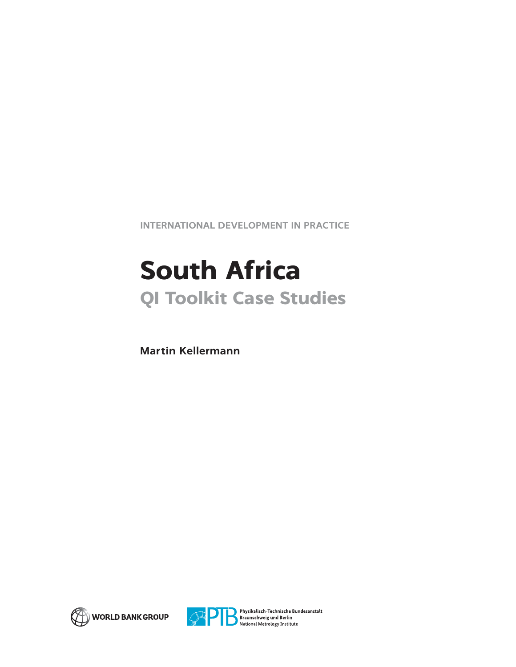**INTERNATIONAL DEVELOPMENT IN PRACTICE**

# **South Africa QI Toolkit Case Studies**

**Martin Kellermann**





Physikalisch-Technische Bundesanstalt **Expansion of the Braunschweig und Berlin**<br>National Metrology Institute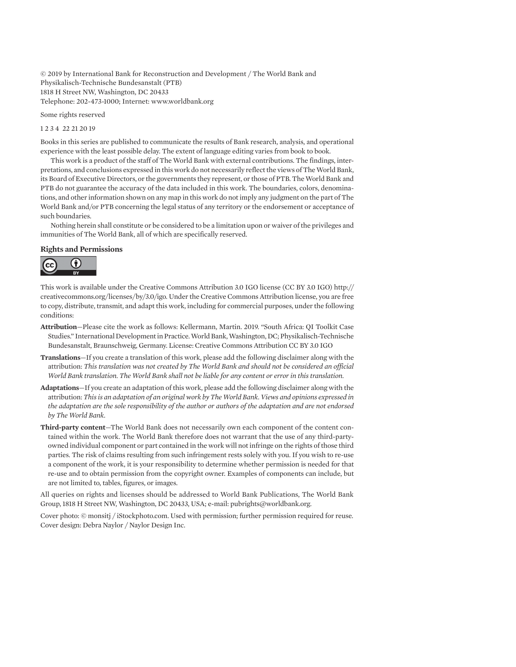© 2019 by International Bank for Reconstruction and Development / The World Bank and Physikalisch-Technische Bundesanstalt (PTB) 1818 H Street NW, Washington, DC 20433 Telephone: 202-473-1000; Internet: www.worldbank.org

Some rights reserved

1 2 3 4 22 21 20 19

Books in this series are published to communicate the results of Bank research, analysis, and operational experience with the least possible delay. The extent of language editing varies from book to book.

This work is a product of the staff of The World Bank with external contributions. The findings, interpretations, and conclusions expressed in this work do not necessarily reflect the views of The World Bank, its Board of Executive Directors, or the governments they represent, or those of PTB. The World Bank and PTB do not guarantee the accuracy of the data included in this work. The boundaries, colors, denominations, and other information shown on any map in this work do not imply any judgment on the part of The World Bank and/or PTB concerning the legal status of any territory or the endorsement or acceptance of such boundaries.

Nothing herein shall constitute or be considered to be a limitation upon or waiver of the privileges and immunities of The World Bank, all of which are specifically reserved.

#### **Rights and Permissions**



This work is available under the Creative Commons Attribution 3.0 IGO license (CC BY 3.0 IGO) http:// creativecommons.org/licenses/by/3.0/igo. Under the Creative Commons Attribution license, you are free to copy, distribute, transmit, and adapt this work, including for commercial purposes, under the following conditions:

- **Attribution**—Please cite the work as follows: Kellermann, Martin. 2019. "South Africa: QI Toolkit Case Studies." International Development in Practice. World Bank, Washington, DC; Physikalisch-Technische Bundesanstalt, Braunschweig, Germany. License: Creative Commons Attribution CC BY 3.0 IGO
- **Translations**—If you create a translation of this work, please add the following disclaimer along with the attribution: *This translation was not created by The World Bank and should not be considered an official World Bank translation. The World Bank shall not be liable for any content or error in this translation.*
- **Adaptations**—If you create an adaptation of this work, please add the following disclaimer along with the attribution: *This is an adaptation of an original work by The World Bank. Views and opinions expressed in the adaptation are the sole responsibility of the author or authors of the adaptation and are not endorsed by The World Bank.*
- **Third-party content**—The World Bank does not necessarily own each component of the content contained within the work. The World Bank therefore does not warrant that the use of any third-partyowned individual component or part contained in the work will not infringe on the rights of those third parties. The risk of claims resulting from such infringement rests solely with you. If you wish to re-use a component of the work, it is your responsibility to determine whether permission is needed for that re-use and to obtain permission from the copyright owner. Examples of components can include, but are not limited to, tables, figures, or images.

All queries on rights and licenses should be addressed to World Bank Publications, The World Bank Group, 1818 H Street NW, Washington, DC 20433, USA; e-mail: pubrights@worldbank.org.

Cover photo: © monsitj / iStockphoto.com. Used with permission; further permission required for reuse. Cover design: Debra Naylor / Naylor Design Inc.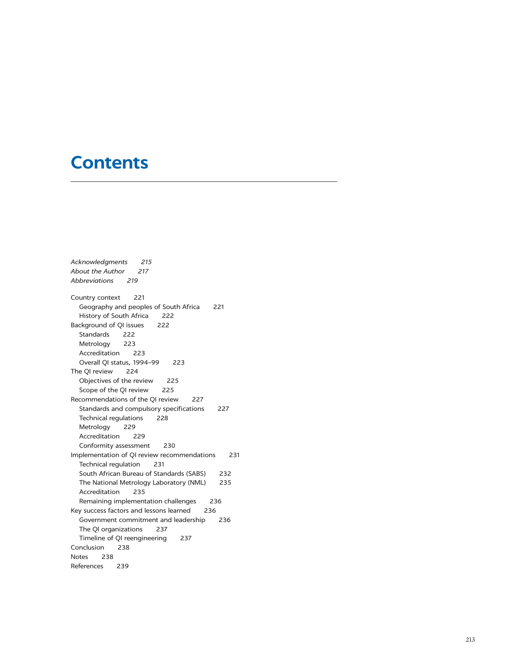### **Contents**

*Acknowledgments 215 About the Author 217 Abbreviations 219* Country context 221 Geography and peoples of South Africa 221 History of South Africa 222 Background of QI issues 222 Standards 222 Metrology 223 Accreditation 223 Overall QI status, 1994–99 223 The QI review 224 Objectives of the review 225 Scope of the QI review 225 Recommendations of the QI review 227 Standards and compulsory specifications 227 Technical regulations 228 Metrology 229 Accreditation 229 Conformity assessment 230 Implementation of QI review recommendations 231 Technical regulation 231 South African Bureau of Standards (SABS) 232 The National Metrology Laboratory (NML) 235 Accreditation 235 Remaining implementation challenges 236 Key success factors and lessons learned 236 Government commitment and leadership 236 The QI organizations 237 Timeline of QI reengineering 237 Conclusion 238 Notes 238 References 239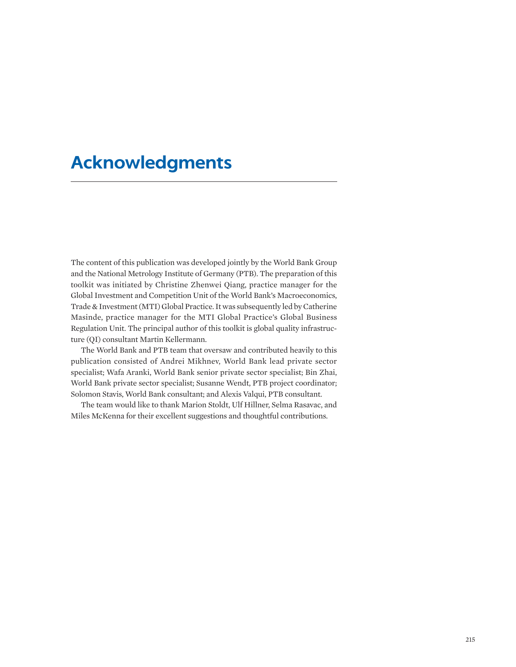## **Acknowledgments**

The content of this publication was developed jointly by the World Bank Group and the National Metrology Institute of Germany (PTB). The preparation of this toolkit was initiated by Christine Zhenwei Qiang, practice manager for the Global Investment and Competition Unit of the World Bank's Macroeconomics, Trade & Investment (MTI) Global Practice. It was subsequently led by Catherine Masinde, practice manager for the MTI Global Practice's Global Business Regulation Unit. The principal author of this toolkit is global quality infrastructure (QI) consultant Martin Kellermann.

The World Bank and PTB team that oversaw and contributed heavily to this publication consisted of Andrei Mikhnev, World Bank lead private sector specialist; Wafa Aranki, World Bank senior private sector specialist; Bin Zhai, World Bank private sector specialist; Susanne Wendt, PTB project coordinator; Solomon Stavis, World Bank consultant; and Alexis Valqui, PTB consultant.

The team would like to thank Marion Stoldt, Ulf Hillner, Selma Rasavac, and Miles McKenna for their excellent suggestions and thoughtful contributions.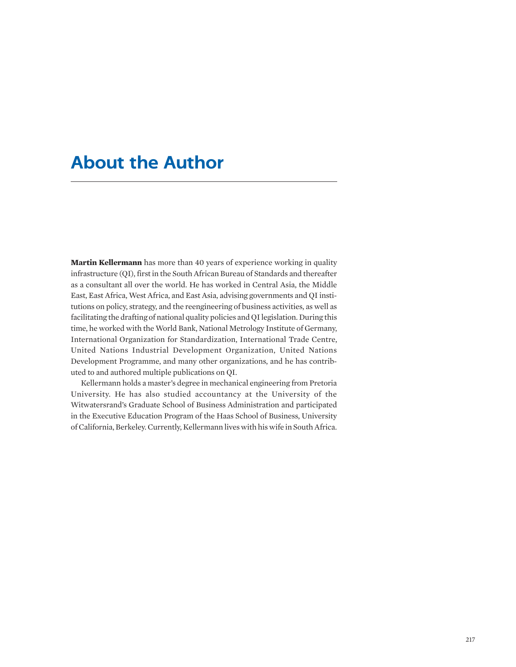### **About the Author**

**Martin Kellermann** has more than 40 years of experience working in quality infrastructure (QI), first in the South African Bureau of Standards and thereafter as a consultant all over the world. He has worked in Central Asia, the Middle East, East Africa, West Africa, and East Asia, advising governments and QI institutions on policy, strategy, and the reengineering of business activities, as well as facilitating the drafting of national quality policies and QI legislation. During this time, he worked with the World Bank, National Metrology Institute of Germany, International Organization for Standardization, International Trade Centre, United Nations Industrial Development Organization, United Nations Development Programme, and many other organizations, and he has contributed to and authored multiple publications on QI.

Kellermann holds a master's degree in mechanical engineering from Pretoria University. He has also studied accountancy at the University of the Witwatersrand's Graduate School of Business Administration and participated in the Executive Education Program of the Haas School of Business, University of California, Berkeley. Currently, Kellermann lives with his wife in South Africa.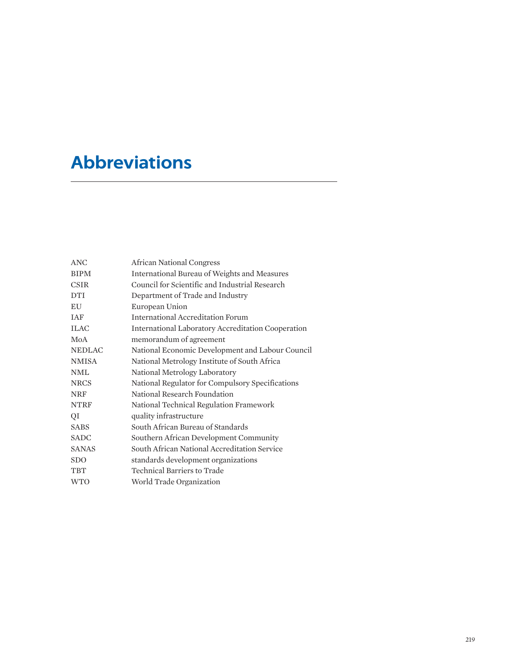# **Abbreviations**

| <b>ANC</b>    | <b>African National Congress</b>                          |
|---------------|-----------------------------------------------------------|
| <b>BIPM</b>   | International Bureau of Weights and Measures              |
| <b>CSIR</b>   | Council for Scientific and Industrial Research            |
| <b>DTI</b>    | Department of Trade and Industry                          |
| EU            | European Union                                            |
| <b>TAF</b>    | <b>International Accreditation Forum</b>                  |
| <b>ILAC</b>   | <b>International Laboratory Accreditation Cooperation</b> |
| MoA           | memorandum of agreement                                   |
| <b>NEDLAC</b> | National Economic Development and Labour Council          |
| <b>NMISA</b>  | National Metrology Institute of South Africa              |
| <b>NML</b>    | National Metrology Laboratory                             |
| <b>NRCS</b>   | National Regulator for Compulsory Specifications          |
| <b>NRF</b>    | National Research Foundation                              |
| <b>NTRF</b>   | National Technical Regulation Framework                   |
| QI            | quality infrastructure                                    |
| <b>SABS</b>   | South African Bureau of Standards                         |
| <b>SADC</b>   | Southern African Development Community                    |
| <b>SANAS</b>  | South African National Accreditation Service              |
| <b>SDO</b>    | standards development organizations                       |
| <b>TBT</b>    | Technical Barriers to Trade                               |
| <b>WTO</b>    | World Trade Organization                                  |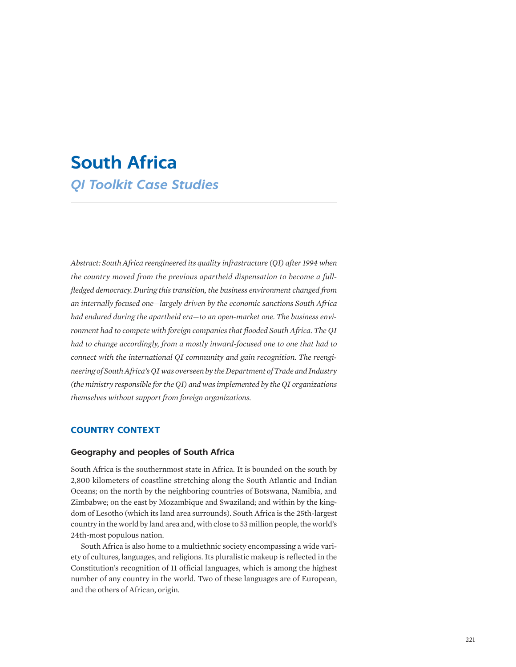# **South Africa** *QI Toolkit Case Studies*

*Abstract: South Africa reengineered its quality infrastructure (QI) after 1994 when the country moved from the previous apartheid dispensation to become a fullfledged democracy. During this transition, the business environment changed from an internally focused one—largely driven by the economic sanctions South Africa had endured during the apartheid era—to an open-market one. The business environment had to compete with foreign companies that flooded South Africa. The QI had to change accordingly, from a mostly inward-focused one to one that had to connect with the international QI community and gain recognition. The reengineering of South Africa's QI was overseen by the Department of Trade and Industry (the ministry responsible for the QI) and was implemented by the QI organizations themselves without support from foreign organizations.*

#### **COUNTRY CONTEXT**

#### **Geography and peoples of South Africa**

South Africa is the southernmost state in Africa. It is bounded on the south by 2,800 kilometers of coastline stretching along the South Atlantic and Indian Oceans; on the north by the neighboring countries of Botswana, Namibia, and Zimbabwe; on the east by Mozambique and Swaziland; and within by the kingdom of Lesotho (which its land area surrounds). South Africa is the 25th-largest country in the world by land area and, with close to 53 million people, the world's 24th-most populous nation.

South Africa is also home to a multiethnic society encompassing a wide variety of cultures, languages, and religions. Its pluralistic makeup is reflected in the Constitution's recognition of 11 official languages, which is among the highest number of any country in the world. Two of these languages are of European, and the others of African, origin.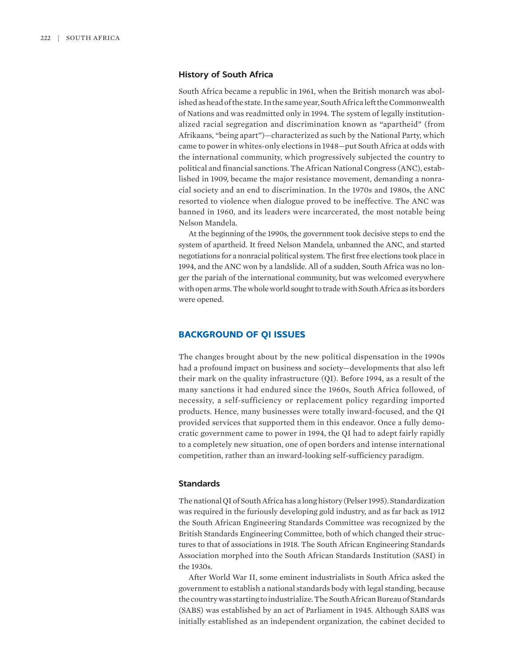#### **History of South Africa**

South Africa became a republic in 1961, when the British monarch was abolished as head of the state. In the same year, South Africa left the Commonwealth of Nations and was readmitted only in 1994. The system of legally institutionalized racial segregation and discrimination known as "apartheid" (from Afrikaans, "being apart")—characterized as such by the National Party, which came to power in whites-only elections in 1948—put South Africa at odds with the international community, which progressively subjected the country to political and financial sanctions. The African National Congress (ANC), established in 1909, became the major resistance movement, demanding a nonracial society and an end to discrimination. In the 1970s and 1980s, the ANC resorted to violence when dialogue proved to be ineffective. The ANC was banned in 1960, and its leaders were incarcerated, the most notable being Nelson Mandela.

At the beginning of the 1990s, the government took decisive steps to end the system of apartheid. It freed Nelson Mandela, unbanned the ANC, and started negotiations for a nonracial political system. The first free elections took place in 1994, and the ANC won by a landslide. All of a sudden, South Africa was no longer the pariah of the international community, but was welcomed everywhere with open arms. The whole world sought to trade with South Africa as its borders were opened.

#### **BACKGROUND OF QI ISSUES**

The changes brought about by the new political dispensation in the 1990s had a profound impact on business and society—developments that also left their mark on the quality infrastructure (QI). Before 1994, as a result of the many sanctions it had endured since the 1960s, South Africa followed, of necessity, a self-sufficiency or replacement policy regarding imported products. Hence, many businesses were totally inward-focused, and the QI provided services that supported them in this endeavor. Once a fully democratic government came to power in 1994, the QI had to adept fairly rapidly to a completely new situation, one of open borders and intense international competition, rather than an inward-looking self-sufficiency paradigm.

#### **Standards**

The national QI of South Africa has a long history (Pelser 1995). Standardization was required in the furiously developing gold industry, and as far back as 1912 the South African Engineering Standards Committee was recognized by the British Standards Engineering Committee, both of which changed their structures to that of associations in 1918. The South African Engineering Standards Association morphed into the South African Standards Institution (SASI) in the 1930s.

After World War II, some eminent industrialists in South Africa asked the government to establish a national standards body with legal standing, because the country was starting to industrialize. The South African Bureau of Standards (SABS) was established by an act of Parliament in 1945. Although SABS was initially established as an independent organization, the cabinet decided to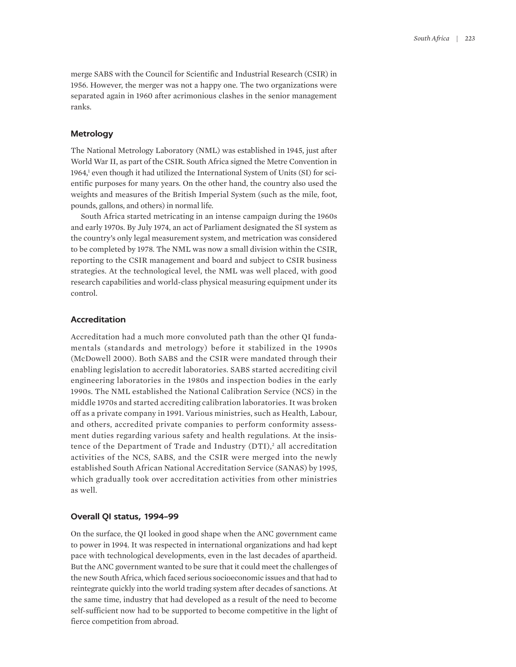merge SABS with the Council for Scientific and Industrial Research (CSIR) in 1956. However, the merger was not a happy one. The two organizations were separated again in 1960 after acrimonious clashes in the senior management ranks.

#### **Metrology**

The National Metrology Laboratory (NML) was established in 1945, just after World War II, as part of the CSIR. South Africa signed the Metre Convention in 1964,<sup>1</sup> even though it had utilized the International System of Units (SI) for scientific purposes for many years. On the other hand, the country also used the weights and measures of the British Imperial System (such as the mile, foot, pounds, gallons, and others) in normal life.

South Africa started metricating in an intense campaign during the 1960s and early 1970s. By July 1974, an act of Parliament designated the SI system as the country's only legal measurement system, and metrication was considered to be completed by 1978. The NML was now a small division within the CSIR, reporting to the CSIR management and board and subject to CSIR business strategies. At the technological level, the NML was well placed, with good research capabilities and world-class physical measuring equipment under its control.

#### **Accreditation**

Accreditation had a much more convoluted path than the other QI fundamentals (standards and metrology) before it stabilized in the 1990s (McDowell 2000). Both SABS and the CSIR were mandated through their enabling legislation to accredit laboratories. SABS started accrediting civil engineering laboratories in the 1980s and inspection bodies in the early 1990s. The NML established the National Calibration Service (NCS) in the middle 1970s and started accrediting calibration laboratories. It was broken off as a private company in 1991. Various ministries, such as Health, Labour, and others, accredited private companies to perform conformity assessment duties regarding various safety and health regulations. At the insistence of the Department of Trade and Industry  $(DTI)^2$  all accreditation activities of the NCS, SABS, and the CSIR were merged into the newly established South African National Accreditation Service (SANAS) by 1995, which gradually took over accreditation activities from other ministries as well.

#### **Overall QI status, 1994–99**

On the surface, the QI looked in good shape when the ANC government came to power in 1994. It was respected in international organizations and had kept pace with technological developments, even in the last decades of apartheid. But the ANC government wanted to be sure that it could meet the challenges of the new South Africa, which faced serious socioeconomic issues and that had to reintegrate quickly into the world trading system after decades of sanctions. At the same time, industry that had developed as a result of the need to become self-sufficient now had to be supported to become competitive in the light of fierce competition from abroad.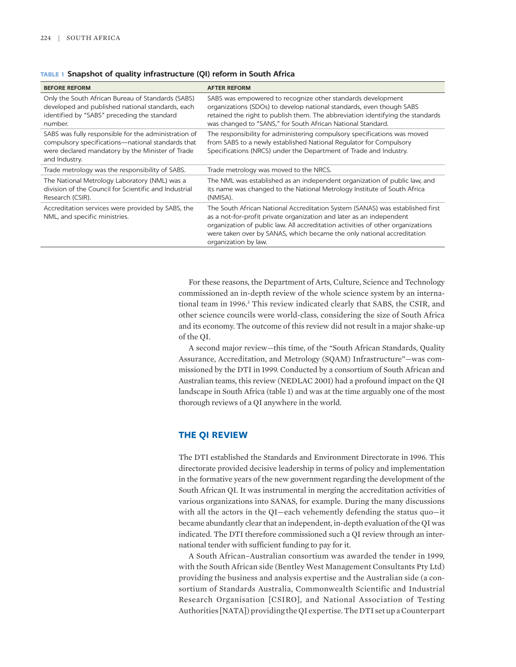**TABLE 1 Snapshot of quality infrastructure (QI) reform in South Africa** 

| <b>BEFORE REFORM</b>                                                                                                                                                           | <b>AFTER REFORM</b>                                                                                                                                                                                                                                                                                                                        |
|--------------------------------------------------------------------------------------------------------------------------------------------------------------------------------|--------------------------------------------------------------------------------------------------------------------------------------------------------------------------------------------------------------------------------------------------------------------------------------------------------------------------------------------|
| Only the South African Bureau of Standards (SABS)<br>developed and published national standards, each<br>identified by "SABS" preceding the standard<br>number.                | SABS was empowered to recognize other standards development<br>organizations (SDOs) to develop national standards, even though SABS<br>retained the right to publish them. The abbreviation identifying the standards<br>was changed to "SANS," for South African National Standard.                                                       |
| SABS was fully responsible for the administration of<br>compulsory specifications—national standards that<br>were declared mandatory by the Minister of Trade<br>and Industry. | The responsibility for administering compulsory specifications was moved<br>from SABS to a newly established National Regulator for Compulsory<br>Specifications (NRCS) under the Department of Trade and Industry.                                                                                                                        |
| Trade metrology was the responsibility of SABS.                                                                                                                                | Trade metrology was moved to the NRCS.                                                                                                                                                                                                                                                                                                     |
| The National Metrology Laboratory (NML) was a<br>division of the Council for Scientific and Industrial<br>Research (CSIR).                                                     | The NML was established as an independent organization of public law, and<br>its name was changed to the National Metrology Institute of South Africa<br>(NMISA).                                                                                                                                                                          |
| Accreditation services were provided by SABS, the<br>NML, and specific ministries.                                                                                             | The South African National Accreditation System (SANAS) was established first<br>as a not-for-profit private organization and later as an independent<br>organization of public law. All accreditation activities of other organizations<br>were taken over by SANAS, which became the only national accreditation<br>organization by law. |

For these reasons, the Department of Arts, Culture, Science and Technology commissioned an in-depth review of the whole science system by an international team in 1996.<sup>3</sup> This review indicated clearly that SABS, the CSIR, and other science councils were world-class, considering the size of South Africa and its economy. The outcome of this review did not result in a major shake-up of the QI.

A second major review—this time, of the "South African Standards, Quality Assurance, Accreditation, and Metrology (SQAM) Infrastructure"—was commissioned by the DTI in 1999. Conducted by a consortium of South African and Australian teams, this review (NEDLAC 2001) had a profound impact on the QI landscape in South Africa (table 1) and was at the time arguably one of the most thorough reviews of a QI anywhere in the world.

#### **THE QI REVIEW**

The DTI established the Standards and Environment Directorate in 1996. This directorate provided decisive leadership in terms of policy and implementation in the formative years of the new government regarding the development of the South African QI. It was instrumental in merging the accreditation activities of various organizations into SANAS, for example. During the many discussions with all the actors in the QI—each vehemently defending the status quo—it became abundantly clear that an independent, in-depth evaluation of the QI was indicated. The DTI therefore commissioned such a QI review through an international tender with sufficient funding to pay for it.

A South African–Australian consortium was awarded the tender in 1999, with the South African side (Bentley West Management Consultants Pty Ltd) providing the business and analysis expertise and the Australian side (a consortium of Standards Australia, Commonwealth Scientific and Industrial Research Organisation [CSIRO], and National Association of Testing Authorities [NATA]) providing the QI expertise. The DTI set up a Counterpart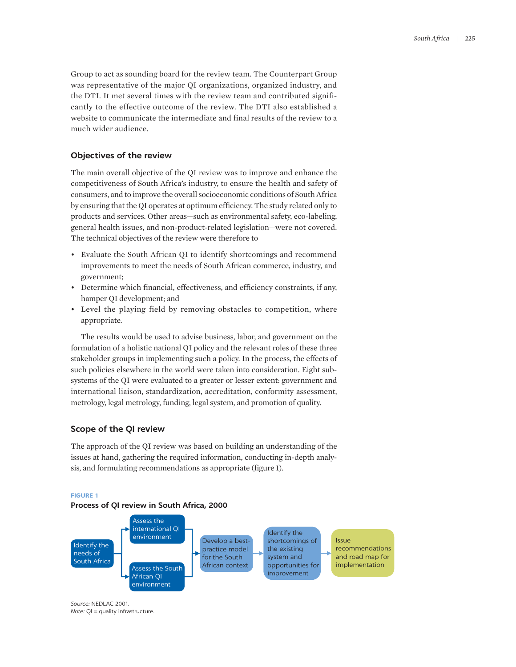Group to act as sounding board for the review team. The Counterpart Group was representative of the major QI organizations, organized industry, and the DTI. It met several times with the review team and contributed significantly to the effective outcome of the review. The DTI also established a website to communicate the intermediate and final results of the review to a much wider audience.

#### **Objectives of the review**

The main overall objective of the QI review was to improve and enhance the competitiveness of South Africa's industry, to ensure the health and safety of consumers, and to improve the overall socioeconomic conditions of South Africa by ensuring that the QI operates at optimum efficiency. The study related only to products and services. Other areas—such as environmental safety, eco-labeling, general health issues, and non-product-related legislation—were not covered. The technical objectives of the review were therefore to

- Evaluate the South African QI to identify shortcomings and recommend improvements to meet the needs of South African commerce, industry, and government;
- Determine which financial, effectiveness, and efficiency constraints, if any, hamper QI development; and
- Level the playing field by removing obstacles to competition, where appropriate.

The results would be used to advise business, labor, and government on the formulation of a holistic national QI policy and the relevant roles of these three stakeholder groups in implementing such a policy. In the process, the effects of such policies elsewhere in the world were taken into consideration. Eight subsystems of the QI were evaluated to a greater or lesser extent: government and international liaison, standardization, accreditation, conformity assessment, metrology, legal metrology, funding, legal system, and promotion of quality.

#### **Scope of the QI review**

The approach of the QI review was based on building an understanding of the issues at hand, gathering the required information, conducting in-depth analysis, and formulating recommendations as appropriate (figure 1).



**Process of QI review in South Africa, 2000**



*Source:* NEDLAC 2001. *Note:* QI = quality infrastructure.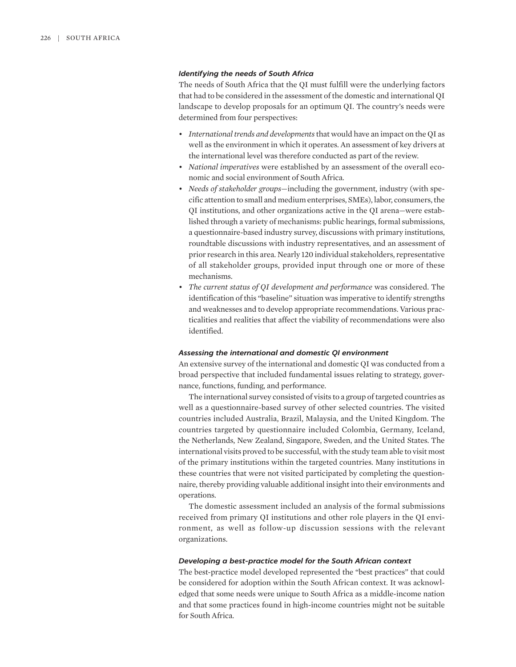#### *Identifying the needs of South Africa*

The needs of South Africa that the QI must fulfill were the underlying factors that had to be considered in the assessment of the domestic and international QI landscape to develop proposals for an optimum QI. The country's needs were determined from four perspectives:

- *International trends and developments* that would have an impact on the QI as well as the environment in which it operates. An assessment of key drivers at the international level was therefore conducted as part of the review.
- *National imperatives* were established by an assessment of the overall economic and social environment of South Africa.
- *Needs of stakeholder groups*—including the government, industry (with specific attention to small and medium enterprises, SMEs), labor, consumers, the QI institutions, and other organizations active in the QI arena—were established through a variety of mechanisms: public hearings, formal submissions, a questionnaire-based industry survey, discussions with primary institutions, roundtable discussions with industry representatives, and an assessment of prior research in this area. Nearly 120 individual stakeholders, representative of all stakeholder groups, provided input through one or more of these mechanisms.
- *The current status of QI development and performance* was considered. The identification of this "baseline" situation was imperative to identify strengths and weaknesses and to develop appropriate recommendations. Various practicalities and realities that affect the viability of recommendations were also identified.

#### *Assessing the international and domestic QI environment*

An extensive survey of the international and domestic QI was conducted from a broad perspective that included fundamental issues relating to strategy, governance, functions, funding, and performance.

The international survey consisted of visits to a group of targeted countries as well as a questionnaire-based survey of other selected countries. The visited countries included Australia, Brazil, Malaysia, and the United Kingdom. The countries targeted by questionnaire included Colombia, Germany, Iceland, the Netherlands, New Zealand, Singapore, Sweden, and the United States. The international visits proved to be successful, with the study team able to visit most of the primary institutions within the targeted countries. Many institutions in these countries that were not visited participated by completing the questionnaire, thereby providing valuable additional insight into their environments and operations.

The domestic assessment included an analysis of the formal submissions received from primary QI institutions and other role players in the QI environment, as well as follow-up discussion sessions with the relevant organizations.

#### *Developing a best-practice model for the South African context*

The best-practice model developed represented the "best practices" that could be considered for adoption within the South African context. It was acknowledged that some needs were unique to South Africa as a middle-income nation and that some practices found in high-income countries might not be suitable for South Africa.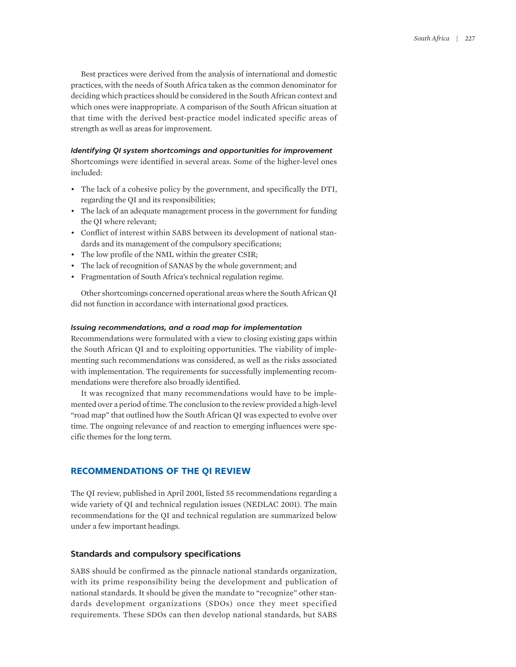Best practices were derived from the analysis of international and domestic practices, with the needs of South Africa taken as the common denominator for deciding which practices should be considered in the South African context and which ones were inappropriate. A comparison of the South African situation at that time with the derived best-practice model indicated specific areas of strength as well as areas for improvement.

#### *Identifying QI system shortcomings and opportunities for improvement*

Shortcomings were identified in several areas. Some of the higher-level ones included:

- The lack of a cohesive policy by the government, and specifically the DTI, regarding the QI and its responsibilities;
- The lack of an adequate management process in the government for funding the QI where relevant;
- Conflict of interest within SABS between its development of national standards and its management of the compulsory specifications;
- The low profile of the NML within the greater CSIR;
- The lack of recognition of SANAS by the whole government; and
- Fragmentation of South Africa's technical regulation regime.

Other shortcomings concerned operational areas where the South African QI did not function in accordance with international good practices.

#### *Issuing recommendations, and a road map for implementation*

Recommendations were formulated with a view to closing existing gaps within the South African QI and to exploiting opportunities. The viability of implementing such recommendations was considered, as well as the risks associated with implementation. The requirements for successfully implementing recommendations were therefore also broadly identified.

It was recognized that many recommendations would have to be implemented over a period of time. The conclusion to the review provided a high-level "road map" that outlined how the South African QI was expected to evolve over time. The ongoing relevance of and reaction to emerging influences were specific themes for the long term.

#### **RECOMMENDATIONS OF THE QI REVIEW**

The QI review, published in April 2001, listed 55 recommendations regarding a wide variety of QI and technical regulation issues (NEDLAC 2001). The main recommendations for the QI and technical regulation are summarized below under a few important headings.

#### **Standards and compulsory specifications**

SABS should be confirmed as the pinnacle national standards organization, with its prime responsibility being the development and publication of national standards. It should be given the mandate to "recognize" other standards development organizations (SDOs) once they meet specified requirements. These SDOs can then develop national standards, but SABS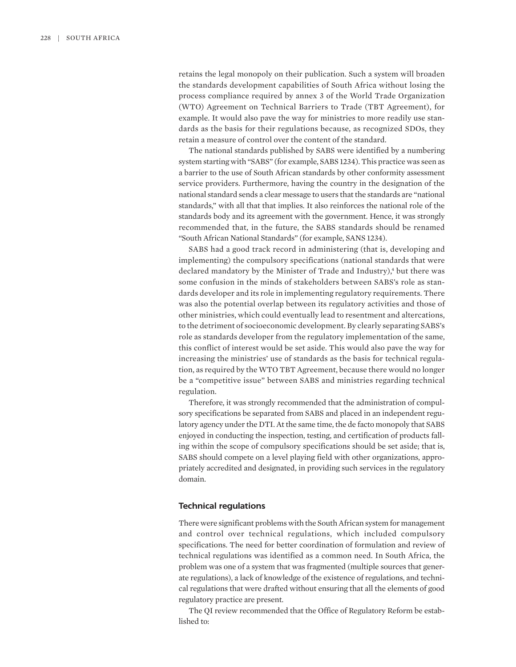retains the legal monopoly on their publication. Such a system will broaden the standards development capabilities of South Africa without losing the process compliance required by annex 3 of the World Trade Organization (WTO) Agreement on Technical Barriers to Trade (TBT Agreement), for example. It would also pave the way for ministries to more readily use standards as the basis for their regulations because, as recognized SDOs, they retain a measure of control over the content of the standard.

The national standards published by SABS were identified by a numbering system starting with "SABS" (for example, SABS 1234). This practice was seen as a barrier to the use of South African standards by other conformity assessment service providers. Furthermore, having the country in the designation of the national standard sends a clear message to users that the standards are "national standards," with all that that implies. It also reinforces the national role of the standards body and its agreement with the government. Hence, it was strongly recommended that, in the future, the SABS standards should be renamed "South African National Standards" (for example, SANS 1234).

SABS had a good track record in administering (that is, developing and implementing) the compulsory specifications (national standards that were declared mandatory by the Minister of Trade and Industry),<sup>4</sup> but there was some confusion in the minds of stakeholders between SABS's role as standards developer and its role in implementing regulatory requirements. There was also the potential overlap between its regulatory activities and those of other ministries, which could eventually lead to resentment and altercations, to the detriment of socioeconomic development. By clearly separating SABS's role as standards developer from the regulatory implementation of the same, this conflict of interest would be set aside. This would also pave the way for increasing the ministries' use of standards as the basis for technical regulation, as required by the WTO TBT Agreement, because there would no longer be a "competitive issue" between SABS and ministries regarding technical regulation.

Therefore, it was strongly recommended that the administration of compulsory specifications be separated from SABS and placed in an independent regulatory agency under the DTI. At the same time, the de facto monopoly that SABS enjoyed in conducting the inspection, testing, and certification of products falling within the scope of compulsory specifications should be set aside; that is, SABS should compete on a level playing field with other organizations, appropriately accredited and designated, in providing such services in the regulatory domain.

#### **Technical regulations**

There were significant problems with the South African system for management and control over technical regulations, which included compulsory specifications. The need for better coordination of formulation and review of technical regulations was identified as a common need. In South Africa, the problem was one of a system that was fragmented (multiple sources that generate regulations), a lack of knowledge of the existence of regulations, and technical regulations that were drafted without ensuring that all the elements of good regulatory practice are present.

The QI review recommended that the Office of Regulatory Reform be established to: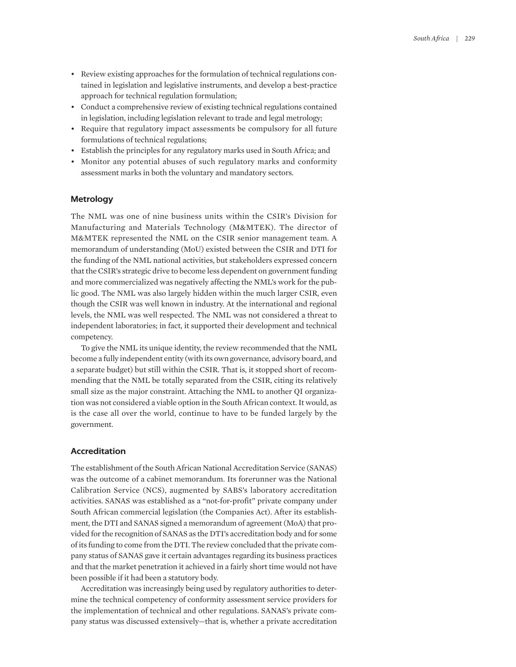- Review existing approaches for the formulation of technical regulations contained in legislation and legislative instruments, and develop a best-practice approach for technical regulation formulation;
- Conduct a comprehensive review of existing technical regulations contained in legislation, including legislation relevant to trade and legal metrology;
- Require that regulatory impact assessments be compulsory for all future formulations of technical regulations;
- Establish the principles for any regulatory marks used in South Africa; and
- Monitor any potential abuses of such regulatory marks and conformity assessment marks in both the voluntary and mandatory sectors.

#### **Metrology**

The NML was one of nine business units within the CSIR's Division for Manufacturing and Materials Technology (M&MTEK). The director of M&MTEK represented the NML on the CSIR senior management team. A memorandum of understanding (MoU) existed between the CSIR and DTI for the funding of the NML national activities, but stakeholders expressed concern that the CSIR's strategic drive to become less dependent on government funding and more commercialized was negatively affecting the NML's work for the public good. The NML was also largely hidden within the much larger CSIR, even though the CSIR was well known in industry. At the international and regional levels, the NML was well respected. The NML was not considered a threat to independent laboratories; in fact, it supported their development and technical competency.

To give the NML its unique identity, the review recommended that the NML become a fully independent entity (with its own governance, advisory board, and a separate budget) but still within the CSIR. That is, it stopped short of recommending that the NML be totally separated from the CSIR, citing its relatively small size as the major constraint. Attaching the NML to another QI organization was not considered a viable option in the South African context. It would, as is the case all over the world, continue to have to be funded largely by the government.

#### **Accreditation**

The establishment of the South African National Accreditation Service (SANAS) was the outcome of a cabinet memorandum. Its forerunner was the National Calibration Service (NCS), augmented by SABS's laboratory accreditation activities. SANAS was established as a "not-for-profit" private company under South African commercial legislation (the Companies Act). After its establishment, the DTI and SANAS signed a memorandum of agreement (MoA) that provided for the recognition of SANAS as the DTI's accreditation body and for some of its funding to come from the DTI. The review concluded that the private company status of SANAS gave it certain advantages regarding its business practices and that the market penetration it achieved in a fairly short time would not have been possible if it had been a statutory body.

Accreditation was increasingly being used by regulatory authorities to determine the technical competency of conformity assessment service providers for the implementation of technical and other regulations. SANAS's private company status was discussed extensively—that is, whether a private accreditation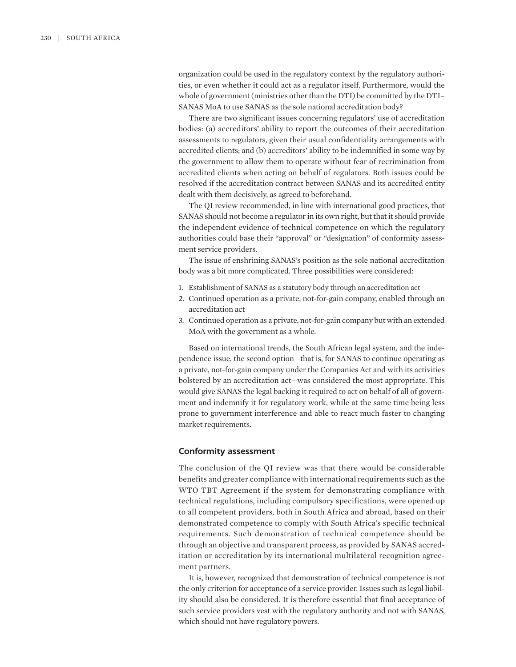organization could be used in the regulatory context by the regulatory authorities, or even whether it could act as a regulator itself. Furthermore, would the whole of government (ministries other than the DTI) be committed by the DTI– SANAS MoA to use SANAS as the sole national accreditation body?

There are two significant issues concerning regulators' use of accreditation bodies: (a) accreditors' ability to report the outcomes of their accreditation assessments to regulators, given their usual confidentiality arrangements with accredited clients; and (b) accreditors' ability to be indemnified in some way by the government to allow them to operate without fear of recrimination from accredited clients when acting on behalf of regulators. Both issues could be resolved if the accreditation contract between SANAS and its accredited entity dealt with them decisively, as agreed to beforehand.

The QI review recommended, in line with international good practices, that SANAS should not become a regulator in its own right, but that it should provide the independent evidence of technical competence on which the regulatory authorities could base their "approval" or "designation" of conformity assessment service providers.

The issue of enshrining SANAS's position as the sole national accreditation body was a bit more complicated. Three possibilities were considered:

- 1. Establishment of SANAS as a statutory body through an accreditation act
- 2. Continued operation as a private, not-for-gain company, enabled through an accreditation act
- 3. Continued operation as a private, not-for-gain company but with an extended MoA with the government as a whole.

Based on international trends, the South African legal system, and the independence issue, the second option—that is, for SANAS to continue operating as a private, not-for-gain company under the Companies Act and with its activities bolstered by an accreditation act—was considered the most appropriate. This would give SANAS the legal backing it required to act on behalf of all of government and indemnify it for regulatory work, while at the same time being less prone to government interference and able to react much faster to changing market requirements.

#### **Conformity assessment**

The conclusion of the QI review was that there would be considerable benefits and greater compliance with international requirements such as the WTO TBT Agreement if the system for demonstrating compliance with technical regulations, including compulsory specifications, were opened up to all competent providers, both in South Africa and abroad, based on their demonstrated competence to comply with South Africa's specific technical requirements. Such demonstration of technical competence should be through an objective and transparent process, as provided by SANAS accreditation or accreditation by its international multilateral recognition agreement partners.

It is, however, recognized that demonstration of technical competence is not the only criterion for acceptance of a service provider. Issues such as legal liability should also be considered. It is therefore essential that final acceptance of such service providers vest with the regulatory authority and not with SANAS, which should not have regulatory powers.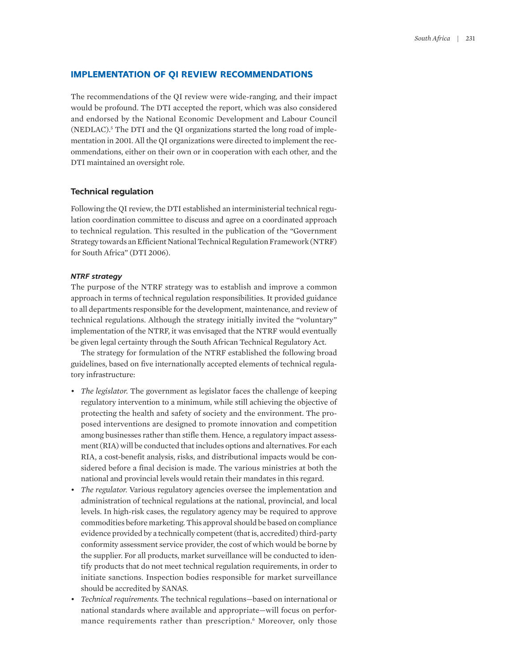#### **IMPLEMENTATION OF QI REVIEW RECOMMENDATIONS**

The recommendations of the QI review were wide-ranging, and their impact would be profound. The DTI accepted the report, which was also considered and endorsed by the National Economic Development and Labour Council (NEDLAC).<sup>5</sup> The DTI and the QI organizations started the long road of implementation in 2001. All the QI organizations were directed to implement the recommendations, either on their own or in cooperation with each other, and the DTI maintained an oversight role.

#### **Technical regulation**

Following the QI review, the DTI established an interministerial technical regulation coordination committee to discuss and agree on a coordinated approach to technical regulation. This resulted in the publication of the "Government Strategy towards an Efficient National Technical Regulation Framework (NTRF) for South Africa" (DTI 2006).

#### *NTRF strategy*

The purpose of the NTRF strategy was to establish and improve a common approach in terms of technical regulation responsibilities. It provided guidance to all departments responsible for the development, maintenance, and review of technical regulations. Although the strategy initially invited the "voluntary" implementation of the NTRF, it was envisaged that the NTRF would eventually be given legal certainty through the South African Technical Regulatory Act.

The strategy for formulation of the NTRF established the following broad guidelines, based on five internationally accepted elements of technical regulatory infrastructure:

- *The legislator.* The government as legislator faces the challenge of keeping regulatory intervention to a minimum, while still achieving the objective of protecting the health and safety of society and the environment. The proposed interventions are designed to promote innovation and competition among businesses rather than stifle them. Hence, a regulatory impact assessment (RIA) will be conducted that includes options and alternatives. For each RIA, a cost-benefit analysis, risks, and distributional impacts would be considered before a final decision is made. The various ministries at both the national and provincial levels would retain their mandates in this regard.
- *The regulator.* Various regulatory agencies oversee the implementation and administration of technical regulations at the national, provincial, and local levels. In high-risk cases, the regulatory agency may be required to approve commodities before marketing. This approval should be based on compliance evidence provided by a technically competent (that is, accredited) third-party conformity assessment service provider, the cost of which would be borne by the supplier. For all products, market surveillance will be conducted to identify products that do not meet technical regulation requirements, in order to initiate sanctions. Inspection bodies responsible for market surveillance should be accredited by SANAS.
- *Technical requirements.* The technical regulations—based on international or national standards where available and appropriate—will focus on performance requirements rather than prescription.<sup>6</sup> Moreover, only those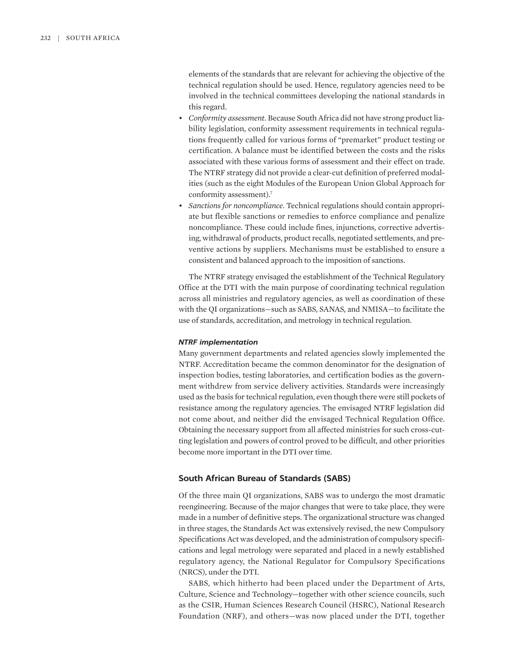elements of the standards that are relevant for achieving the objective of the technical regulation should be used. Hence, regulatory agencies need to be involved in the technical committees developing the national standards in this regard.

- *Conformity assessment.* Because South Africa did not have strong product liability legislation, conformity assessment requirements in technical regulations frequently called for various forms of "premarket" product testing or certification. A balance must be identified between the costs and the risks associated with these various forms of assessment and their effect on trade. The NTRF strategy did not provide a clear-cut definition of preferred modalities (such as the eight Modules of the European Union Global Approach for conformity assessment).<sup>7</sup>
- *Sanctions for noncompliance.* Technical regulations should contain appropriate but flexible sanctions or remedies to enforce compliance and penalize noncompliance. These could include fines, injunctions, corrective advertising, withdrawal of products, product recalls, negotiated settlements, and preventive actions by suppliers. Mechanisms must be established to ensure a consistent and balanced approach to the imposition of sanctions.

The NTRF strategy envisaged the establishment of the Technical Regulatory Office at the DTI with the main purpose of coordinating technical regulation across all ministries and regulatory agencies, as well as coordination of these with the QI organizations—such as SABS, SANAS, and NMISA—to facilitate the use of standards, accreditation, and metrology in technical regulation.

#### *NTRF implementation*

Many government departments and related agencies slowly implemented the NTRF. Accreditation became the common denominator for the designation of inspection bodies, testing laboratories, and certification bodies as the government withdrew from service delivery activities. Standards were increasingly used as the basis for technical regulation, even though there were still pockets of resistance among the regulatory agencies. The envisaged NTRF legislation did not come about, and neither did the envisaged Technical Regulation Office. Obtaining the necessary support from all affected ministries for such cross-cutting legislation and powers of control proved to be difficult, and other priorities become more important in the DTI over time.

#### **South African Bureau of Standards (SABS)**

Of the three main QI organizations, SABS was to undergo the most dramatic reengineering. Because of the major changes that were to take place, they were made in a number of definitive steps. The organizational structure was changed in three stages, the Standards Act was extensively revised, the new Compulsory Specifications Act was developed, and the administration of compulsory specifications and legal metrology were separated and placed in a newly established regulatory agency, the National Regulator for Compulsory Specifications (NRCS), under the DTI.

SABS, which hitherto had been placed under the Department of Arts, Culture, Science and Technology—together with other science councils, such as the CSIR, Human Sciences Research Council (HSRC), National Research Foundation (NRF), and others—was now placed under the DTI, together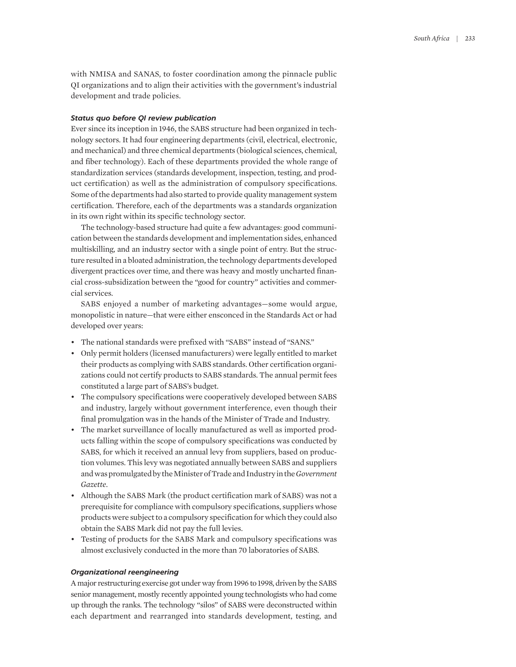with NMISA and SANAS, to foster coordination among the pinnacle public QI organizations and to align their activities with the government's industrial development and trade policies.

#### *Status quo before QI review publication*

Ever since its inception in 1946, the SABS structure had been organized in technology sectors. It had four engineering departments (civil, electrical, electronic, and mechanical) and three chemical departments (biological sciences, chemical, and fiber technology). Each of these departments provided the whole range of standardization services (standards development, inspection, testing, and product certification) as well as the administration of compulsory specifications. Some of the departments had also started to provide quality management system certification. Therefore, each of the departments was a standards organization in its own right within its specific technology sector.

The technology-based structure had quite a few advantages: good communication between the standards development and implementation sides, enhanced multiskilling, and an industry sector with a single point of entry. But the structure resulted in a bloated administration, the technology departments developed divergent practices over time, and there was heavy and mostly uncharted financial cross-subsidization between the "good for country" activities and commercial services.

SABS enjoyed a number of marketing advantages—some would argue, monopolistic in nature—that were either ensconced in the Standards Act or had developed over years:

- The national standards were prefixed with "SABS" instead of "SANS."
- Only permit holders (licensed manufacturers) were legally entitled to market their products as complying with SABS standards. Other certification organizations could not certify products to SABS standards. The annual permit fees constituted a large part of SABS's budget.
- The compulsory specifications were cooperatively developed between SABS and industry, largely without government interference, even though their final promulgation was in the hands of the Minister of Trade and Industry.
- The market surveillance of locally manufactured as well as imported products falling within the scope of compulsory specifications was conducted by SABS, for which it received an annual levy from suppliers, based on production volumes. This levy was negotiated annually between SABS and suppliers and was promulgated by the Minister of Trade and Industry in the *Government Gazette*.
- Although the SABS Mark (the product certification mark of SABS) was not a prerequisite for compliance with compulsory specifications, suppliers whose products were subject to a compulsory specification for which they could also obtain the SABS Mark did not pay the full levies.
- Testing of products for the SABS Mark and compulsory specifications was almost exclusively conducted in the more than 70 laboratories of SABS.

#### *Organizational reengineering*

A major restructuring exercise got under way from 1996 to 1998, driven by the SABS senior management, mostly recently appointed young technologists who had come up through the ranks. The technology "silos" of SABS were deconstructed within each department and rearranged into standards development, testing, and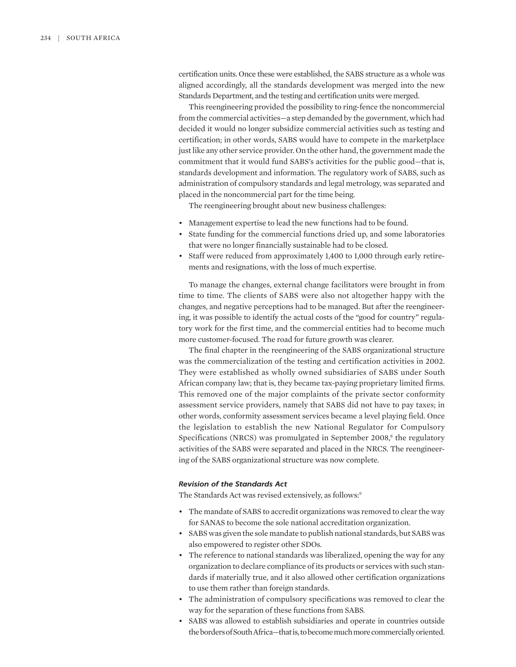certification units. Once these were established, the SABS structure as a whole was aligned accordingly, all the standards development was merged into the new Standards Department, and the testing and certification units were merged.

This reengineering provided the possibility to ring-fence the noncommercial from the commercial activities—a step demanded by the government, which had decided it would no longer subsidize commercial activities such as testing and certification; in other words, SABS would have to compete in the marketplace just like any other service provider. On the other hand, the government made the commitment that it would fund SABS's activities for the public good—that is, standards development and information. The regulatory work of SABS, such as administration of compulsory standards and legal metrology, was separated and placed in the noncommercial part for the time being.

The reengineering brought about new business challenges:

- Management expertise to lead the new functions had to be found.
- State funding for the commercial functions dried up, and some laboratories that were no longer financially sustainable had to be closed.
- Staff were reduced from approximately 1,400 to 1,000 through early retirements and resignations, with the loss of much expertise.

To manage the changes, external change facilitators were brought in from time to time. The clients of SABS were also not altogether happy with the changes, and negative perceptions had to be managed. But after the reengineering, it was possible to identify the actual costs of the "good for country" regulatory work for the first time, and the commercial entities had to become much more customer-focused. The road for future growth was clearer.

The final chapter in the reengineering of the SABS organizational structure was the commercialization of the testing and certification activities in 2002. They were established as wholly owned subsidiaries of SABS under South African company law; that is, they became tax-paying proprietary limited firms. This removed one of the major complaints of the private sector conformity assessment service providers, namely that SABS did not have to pay taxes; in other words, conformity assessment services became a level playing field. Once the legislation to establish the new National Regulator for Compulsory Specifications (NRCS) was promulgated in September 2008,<sup>8</sup> the regulatory activities of the SABS were separated and placed in the NRCS. The reengineering of the SABS organizational structure was now complete.

#### *Revision of the Standards Act*

The Standards Act was revised extensively, as follows:<sup>9</sup>

- The mandate of SABS to accredit organizations was removed to clear the way for SANAS to become the sole national accreditation organization.
- SABS was given the sole mandate to publish national standards, but SABS was also empowered to register other SDOs.
- The reference to national standards was liberalized, opening the way for any organization to declare compliance of its products or services with such standards if materially true, and it also allowed other certification organizations to use them rather than foreign standards.
- The administration of compulsory specifications was removed to clear the way for the separation of these functions from SABS.
- SABS was allowed to establish subsidiaries and operate in countries outside the borders of South Africa—that is, to become much more commercially oriented.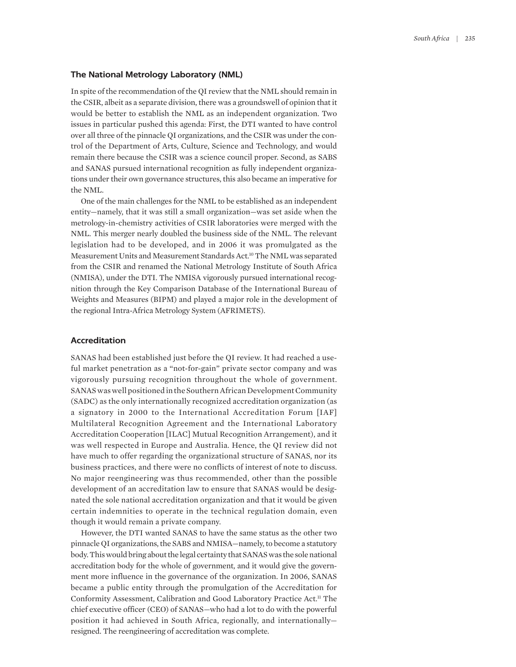#### **The National Metrology Laboratory (NML)**

In spite of the recommendation of the QI review that the NML should remain in the CSIR, albeit as a separate division, there was a groundswell of opinion that it would be better to establish the NML as an independent organization. Two issues in particular pushed this agenda: First, the DTI wanted to have control over all three of the pinnacle QI organizations, and the CSIR was under the control of the Department of Arts, Culture, Science and Technology, and would remain there because the CSIR was a science council proper. Second, as SABS and SANAS pursued international recognition as fully independent organizations under their own governance structures, this also became an imperative for the NML.

One of the main challenges for the NML to be established as an independent entity—namely, that it was still a small organization—was set aside when the metrology-in-chemistry activities of CSIR laboratories were merged with the NML. This merger nearly doubled the business side of the NML. The relevant legislation had to be developed, and in 2006 it was promulgated as the Measurement Units and Measurement Standards Act.10 The NML was separated from the CSIR and renamed the National Metrology Institute of South Africa (NMISA), under the DTI. The NMISA vigorously pursued international recognition through the Key Comparison Database of the International Bureau of Weights and Measures (BIPM) and played a major role in the development of the regional Intra-Africa Metrology System (AFRIMETS).

#### **Accreditation**

SANAS had been established just before the QI review. It had reached a useful market penetration as a "not-for-gain" private sector company and was vigorously pursuing recognition throughout the whole of government. SANAS was well positioned in the Southern African Development Community (SADC) as the only internationally recognized accreditation organization (as a signatory in 2000 to the International Accreditation Forum [IAF] Multilateral Recognition Agreement and the International Laboratory Accreditation Cooperation [ILAC] Mutual Recognition Arrangement), and it was well respected in Europe and Australia. Hence, the QI review did not have much to offer regarding the organizational structure of SANAS, nor its business practices, and there were no conflicts of interest of note to discuss. No major reengineering was thus recommended, other than the possible development of an accreditation law to ensure that SANAS would be designated the sole national accreditation organization and that it would be given certain indemnities to operate in the technical regulation domain, even though it would remain a private company.

However, the DTI wanted SANAS to have the same status as the other two pinnacle QI organizations, the SABS and NMISA—namely, to become a statutory body. This would bring about the legal certainty that SANAS was the sole national accreditation body for the whole of government, and it would give the government more influence in the governance of the organization. In 2006, SANAS became a public entity through the promulgation of the Accreditation for Conformity Assessment, Calibration and Good Laboratory Practice Act.11 The chief executive officer (CEO) of SANAS—who had a lot to do with the powerful position it had achieved in South Africa, regionally, and internationally resigned. The reengineering of accreditation was complete.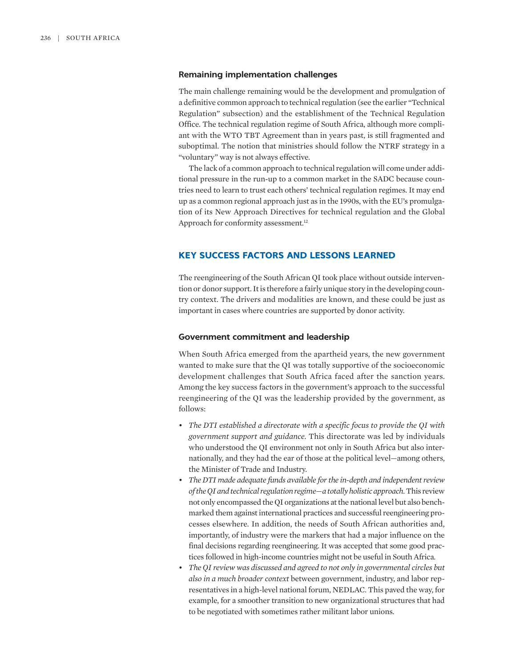#### **Remaining implementation challenges**

The main challenge remaining would be the development and promulgation of a definitive common approach to technical regulation (see the earlier "Technical Regulation" subsection) and the establishment of the Technical Regulation Office. The technical regulation regime of South Africa, although more compliant with the WTO TBT Agreement than in years past, is still fragmented and suboptimal. The notion that ministries should follow the NTRF strategy in a "voluntary" way is not always effective.

The lack of a common approach to technical regulation will come under additional pressure in the run-up to a common market in the SADC because countries need to learn to trust each others' technical regulation regimes. It may end up as a common regional approach just as in the 1990s, with the EU's promulgation of its New Approach Directives for technical regulation and the Global Approach for conformity assessment.<sup>12</sup>

#### **KEY SUCCESS FACTORS AND LESSONS LEARNED**

The reengineering of the South African QI took place without outside intervention or donor support. It is therefore a fairly unique story in the developing country context. The drivers and modalities are known, and these could be just as important in cases where countries are supported by donor activity.

#### **Government commitment and leadership**

When South Africa emerged from the apartheid years, the new government wanted to make sure that the QI was totally supportive of the socioeconomic development challenges that South Africa faced after the sanction years. Among the key success factors in the government's approach to the successful reengineering of the QI was the leadership provided by the government, as follows:

- *The DTI established a directorate with a specific focus to provide the QI with government support and guidance.* This directorate was led by individuals who understood the QI environment not only in South Africa but also internationally, and they had the ear of those at the political level—among others, the Minister of Trade and Industry.
- *The DTI made adequate funds available for the in-depth and independent review of the QI and technical regulation regime—a totally holistic approach.* This review not only encompassed the QI organizations at the national level but also benchmarked them against international practices and successful reengineering processes elsewhere. In addition, the needs of South African authorities and, importantly, of industry were the markers that had a major influence on the final decisions regarding reengineering. It was accepted that some good practices followed in high-income countries might not be useful in South Africa.
- *The QI review was discussed and agreed to not only in governmental circles but also in a much broader context* between government, industry, and labor representatives in a high-level national forum, NEDLAC. This paved the way, for example, for a smoother transition to new organizational structures that had to be negotiated with sometimes rather militant labor unions.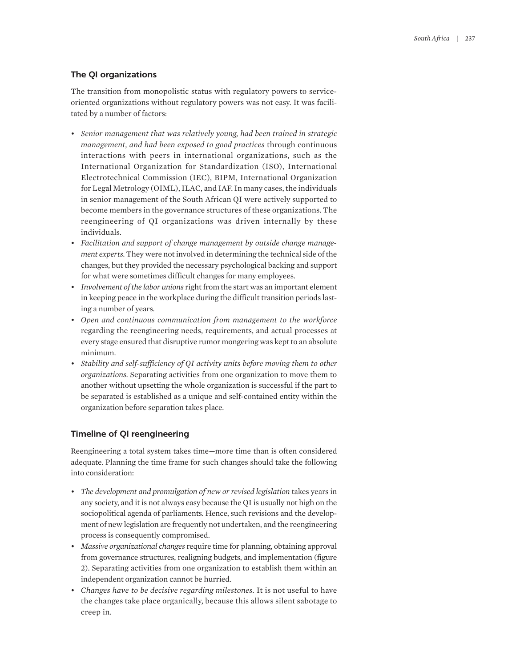#### **The QI organizations**

The transition from monopolistic status with regulatory powers to serviceoriented organizations without regulatory powers was not easy. It was facilitated by a number of factors:

- *Senior management that was relatively young, had been trained in strategic management, and had been exposed to good practices* through continuous interactions with peers in international organizations, such as the International Organization for Standardization (ISO), International Electrotechnical Commission (IEC), BIPM, International Organization for Legal Metrology (OIML), ILAC, and IAF. In many cases, the individuals in senior management of the South African QI were actively supported to become members in the governance structures of these organizations. The reengineering of QI organizations was driven internally by these individuals.
- *Facilitation and support of change management by outside change management experts.* They were not involved in determining the technical side of the changes, but they provided the necessary psychological backing and support for what were sometimes difficult changes for many employees.
- *Involvement of the labor unions* right from the start was an important element in keeping peace in the workplace during the difficult transition periods lasting a number of years.
- *Open and continuous communication from management to the workforce* regarding the reengineering needs, requirements, and actual processes at every stage ensured that disruptive rumor mongering was kept to an absolute minimum.
- *Stability and self-sufficiency of QI activity units before moving them to other organizations.* Separating activities from one organization to move them to another without upsetting the whole organization is successful if the part to be separated is established as a unique and self-contained entity within the organization before separation takes place.

#### **Timeline of QI reengineering**

Reengineering a total system takes time—more time than is often considered adequate. Planning the time frame for such changes should take the following into consideration:

- *The development and promulgation of new or revised legislation* takes years in any society, and it is not always easy because the QI is usually not high on the sociopolitical agenda of parliaments. Hence, such revisions and the development of new legislation are frequently not undertaken, and the reengineering process is consequently compromised.
- *Massive organizational changes* require time for planning, obtaining approval from governance structures, realigning budgets, and implementation (figure 2). Separating activities from one organization to establish them within an independent organization cannot be hurried.
- *Changes have to be decisive regarding milestones.* It is not useful to have the changes take place organically, because this allows silent sabotage to creep in.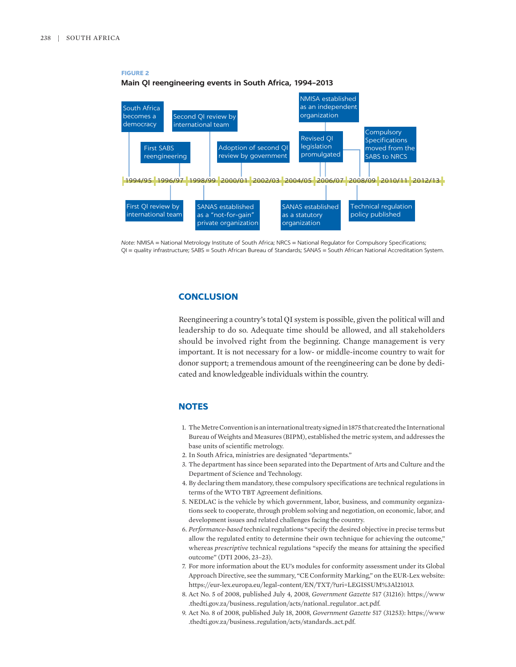**FIGURE 2**



#### **Main QI reengineering events in South Africa, 1994–2013**

*Note:* NMISA = National Metrology Institute of South Africa; NRCS = National Regulator for Compulsory Specifications; QI = quality infrastructure; SABS = South African Bureau of Standards; SANAS = South African National Accreditation System.

#### **CONCLUSION**

Reengineering a country's total QI system is possible, given the political will and leadership to do so. Adequate time should be allowed, and all stakeholders should be involved right from the beginning. Change management is very important. It is not necessary for a low- or middle-income country to wait for donor support; a tremendous amount of the reengineering can be done by dedicated and knowledgeable individuals within the country.

#### **NOTES**

- 1. The Metre Convention is an international treaty signed in 1875 that created the International Bureau of Weights and Measures (BIPM), established the metric system, and addresses the base units of scientific metrology.
- 2. In South Africa, ministries are designated "departments."
- 3. The department has since been separated into the Department of Arts and Culture and the Department of Science and Technology.
- 4. By declaring them mandatory, these compulsory specifications are technical regulations in terms of the WTO TBT Agreement definitions.
- 5. NEDLAC is the vehicle by which government, labor, business, and community organizations seek to cooperate, through problem solving and negotiation, on economic, labor, and development issues and related challenges facing the country.
- 6. *Performance-based* technical regulations "specify the desired objective in precise terms but allow the regulated entity to determine their own technique for achieving the outcome," whereas *prescriptive* technical regulations "specify the means for attaining the specified outcome" (DTI 2006, 23–23).
- 7. For more information about the EU's modules for conformity assessment under its Global Approach Directive, see the summary, "CE Conformity Marking," on the EUR-Lex website: https://eur-lex.europa.eu/legal-content/EN/TXT/?uri=LEGISSUM%3Al21013.
- 8. Act No. 5 of 2008, published July 4, 2008, *Government Gazette* 517 (31216): https://www .thedti.gov.za/business\_regulation/acts/national\_regulator\_act.pdf.
- 9. Act No. 8 of 2008, published July 18, 2008, *Government Gazette* 517 (31253): https://www .thedti.gov.za/business\_regulation/acts/standards\_act.pdf.